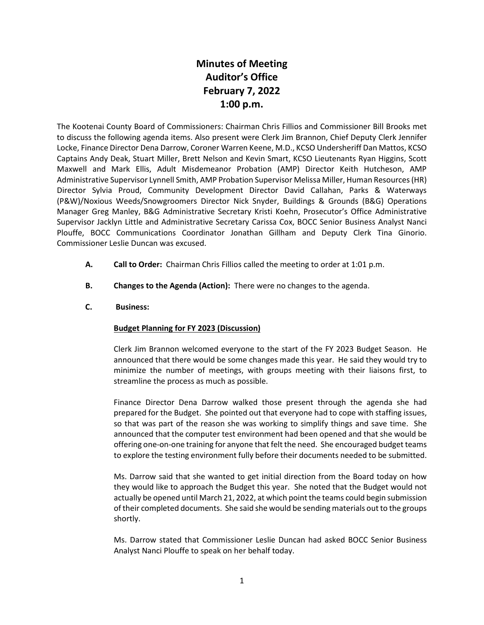## **Minutes of Meeting Auditor's Office February 7, 2022 1:00 p.m.**

The Kootenai County Board of Commissioners: Chairman Chris Fillios and Commissioner Bill Brooks met to discuss the following agenda items. Also present were Clerk Jim Brannon, Chief Deputy Clerk Jennifer Locke, Finance Director Dena Darrow, Coroner Warren Keene, M.D., KCSO Undersheriff Dan Mattos, KCSO Captains Andy Deak, Stuart Miller, Brett Nelson and Kevin Smart, KCSO Lieutenants Ryan Higgins, Scott Maxwell and Mark Ellis, Adult Misdemeanor Probation (AMP) Director Keith Hutcheson, AMP Administrative Supervisor Lynnell Smith, AMP Probation Supervisor Melissa Miller, Human Resources (HR) Director Sylvia Proud, Community Development Director David Callahan, Parks & Waterways (P&W)/Noxious Weeds/Snowgroomers Director Nick Snyder, Buildings & Grounds (B&G) Operations Manager Greg Manley, B&G Administrative Secretary Kristi Koehn, Prosecutor's Office Administrative Supervisor Jacklyn Little and Administrative Secretary Carissa Cox, BOCC Senior Business Analyst Nanci Plouffe, BOCC Communications Coordinator Jonathan Gillham and Deputy Clerk Tina Ginorio. Commissioner Leslie Duncan was excused.

- **A. Call to Order:** Chairman Chris Fillios called the meeting to order at 1:01 p.m.
- **B. Changes to the Agenda (Action):** There were no changes to the agenda.
- **C. Business:**

## **Budget Planning for FY 2023 (Discussion)**

Clerk Jim Brannon welcomed everyone to the start of the FY 2023 Budget Season. He announced that there would be some changes made this year. He said they would try to minimize the number of meetings, with groups meeting with their liaisons first, to streamline the process as much as possible.

Finance Director Dena Darrow walked those present through the agenda she had prepared for the Budget. She pointed out that everyone had to cope with staffing issues, so that was part of the reason she was working to simplify things and save time. She announced that the computer test environment had been opened and that she would be offering one-on-one training for anyone that felt the need. She encouraged budget teams to explore the testing environment fully before their documents needed to be submitted.

Ms. Darrow said that she wanted to get initial direction from the Board today on how they would like to approach the Budget this year. She noted that the Budget would not actually be opened until March 21, 2022, at which point the teams could begin submission of their completed documents. She said she would be sending materials out to the groups shortly.

Ms. Darrow stated that Commissioner Leslie Duncan had asked BOCC Senior Business Analyst Nanci Plouffe to speak on her behalf today.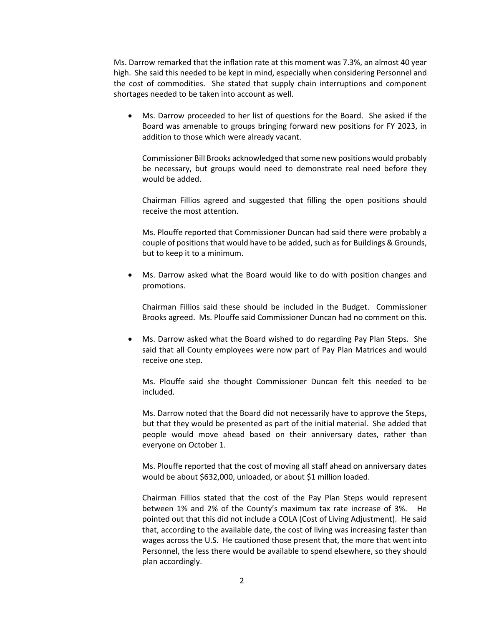Ms. Darrow remarked that the inflation rate at this moment was 7.3%, an almost 40 year high. She said this needed to be kept in mind, especially when considering Personnel and the cost of commodities. She stated that supply chain interruptions and component shortages needed to be taken into account as well.

• Ms. Darrow proceeded to her list of questions for the Board. She asked if the Board was amenable to groups bringing forward new positions for FY 2023, in addition to those which were already vacant.

Commissioner Bill Brooks acknowledged that some new positions would probably be necessary, but groups would need to demonstrate real need before they would be added.

Chairman Fillios agreed and suggested that filling the open positions should receive the most attention.

Ms. Plouffe reported that Commissioner Duncan had said there were probably a couple of positions that would have to be added, such as for Buildings & Grounds, but to keep it to a minimum.

• Ms. Darrow asked what the Board would like to do with position changes and promotions.

Chairman Fillios said these should be included in the Budget. Commissioner Brooks agreed. Ms. Plouffe said Commissioner Duncan had no comment on this.

• Ms. Darrow asked what the Board wished to do regarding Pay Plan Steps. She said that all County employees were now part of Pay Plan Matrices and would receive one step.

Ms. Plouffe said she thought Commissioner Duncan felt this needed to be included.

Ms. Darrow noted that the Board did not necessarily have to approve the Steps, but that they would be presented as part of the initial material. She added that people would move ahead based on their anniversary dates, rather than everyone on October 1.

Ms. Plouffe reported that the cost of moving all staff ahead on anniversary dates would be about \$632,000, unloaded, or about \$1 million loaded.

Chairman Fillios stated that the cost of the Pay Plan Steps would represent between 1% and 2% of the County's maximum tax rate increase of 3%. He pointed out that this did not include a COLA (Cost of Living Adjustment). He said that, according to the available date, the cost of living was increasing faster than wages across the U.S. He cautioned those present that, the more that went into Personnel, the less there would be available to spend elsewhere, so they should plan accordingly.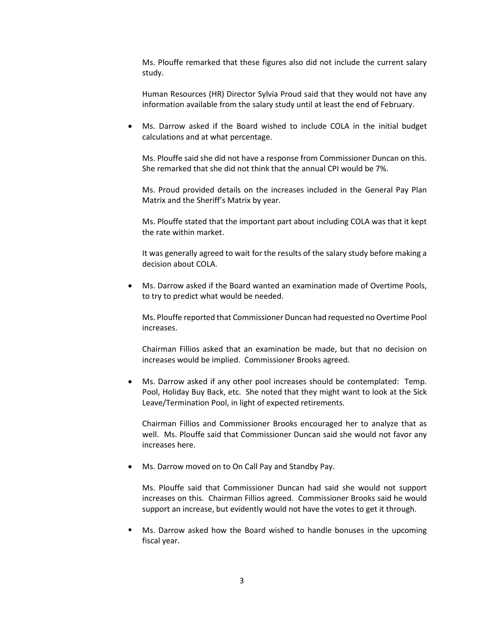Ms. Plouffe remarked that these figures also did not include the current salary study.

Human Resources (HR) Director Sylvia Proud said that they would not have any information available from the salary study until at least the end of February.

Ms. Darrow asked if the Board wished to include COLA in the initial budget calculations and at what percentage.

Ms. Plouffe said she did not have a response from Commissioner Duncan on this. She remarked that she did not think that the annual CPI would be 7%.

Ms. Proud provided details on the increases included in the General Pay Plan Matrix and the Sheriff's Matrix by year.

Ms. Plouffe stated that the important part about including COLA was that it kept the rate within market.

It was generally agreed to wait for the results of the salary study before making a decision about COLA.

• Ms. Darrow asked if the Board wanted an examination made of Overtime Pools, to try to predict what would be needed.

Ms. Plouffe reported that Commissioner Duncan had requested no Overtime Pool increases.

Chairman Fillios asked that an examination be made, but that no decision on increases would be implied. Commissioner Brooks agreed.

Ms. Darrow asked if any other pool increases should be contemplated: Temp. Pool, Holiday Buy Back, etc. She noted that they might want to look at the Sick Leave/Termination Pool, in light of expected retirements.

Chairman Fillios and Commissioner Brooks encouraged her to analyze that as well. Ms. Plouffe said that Commissioner Duncan said she would not favor any increases here.

• Ms. Darrow moved on to On Call Pay and Standby Pay.

Ms. Plouffe said that Commissioner Duncan had said she would not support increases on this. Chairman Fillios agreed. Commissioner Brooks said he would support an increase, but evidently would not have the votes to get it through.

 Ms. Darrow asked how the Board wished to handle bonuses in the upcoming fiscal year.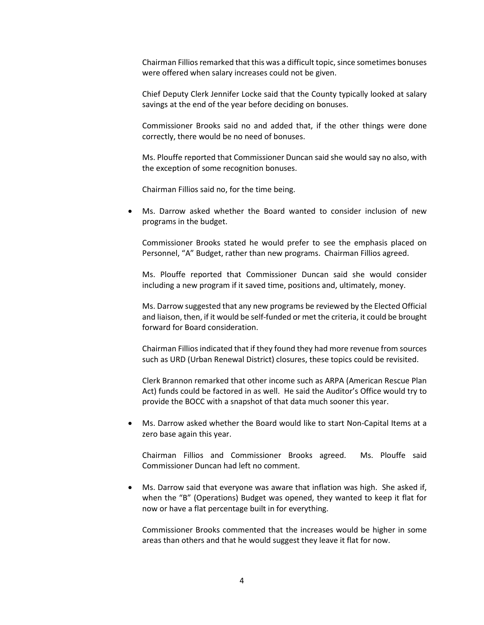Chairman Fillios remarked that this was a difficult topic, since sometimes bonuses were offered when salary increases could not be given.

Chief Deputy Clerk Jennifer Locke said that the County typically looked at salary savings at the end of the year before deciding on bonuses.

Commissioner Brooks said no and added that, if the other things were done correctly, there would be no need of bonuses.

Ms. Plouffe reported that Commissioner Duncan said she would say no also, with the exception of some recognition bonuses.

Chairman Fillios said no, for the time being.

• Ms. Darrow asked whether the Board wanted to consider inclusion of new programs in the budget.

Commissioner Brooks stated he would prefer to see the emphasis placed on Personnel, "A" Budget, rather than new programs. Chairman Fillios agreed.

Ms. Plouffe reported that Commissioner Duncan said she would consider including a new program if it saved time, positions and, ultimately, money.

Ms. Darrow suggested that any new programs be reviewed by the Elected Official and liaison, then, if it would be self-funded or met the criteria, it could be brought forward for Board consideration.

Chairman Fillios indicated that if they found they had more revenue from sources such as URD (Urban Renewal District) closures, these topics could be revisited.

Clerk Brannon remarked that other income such as ARPA (American Rescue Plan Act) funds could be factored in as well. He said the Auditor's Office would try to provide the BOCC with a snapshot of that data much sooner this year.

• Ms. Darrow asked whether the Board would like to start Non-Capital Items at a zero base again this year.

Chairman Fillios and Commissioner Brooks agreed. Ms. Plouffe said Commissioner Duncan had left no comment.

• Ms. Darrow said that everyone was aware that inflation was high. She asked if, when the "B" (Operations) Budget was opened, they wanted to keep it flat for now or have a flat percentage built in for everything.

Commissioner Brooks commented that the increases would be higher in some areas than others and that he would suggest they leave it flat for now.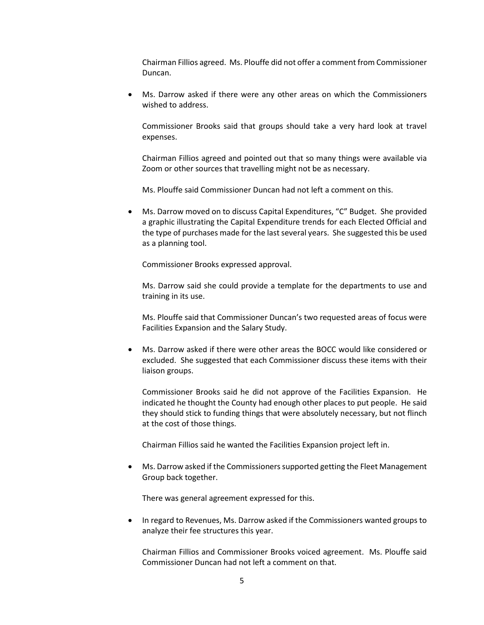Chairman Fillios agreed. Ms. Plouffe did not offer a comment from Commissioner Duncan.

• Ms. Darrow asked if there were any other areas on which the Commissioners wished to address.

Commissioner Brooks said that groups should take a very hard look at travel expenses.

Chairman Fillios agreed and pointed out that so many things were available via Zoom or other sources that travelling might not be as necessary.

Ms. Plouffe said Commissioner Duncan had not left a comment on this.

• Ms. Darrow moved on to discuss Capital Expenditures, "C" Budget. She provided a graphic illustrating the Capital Expenditure trends for each Elected Official and the type of purchases made for the last several years. She suggested this be used as a planning tool.

Commissioner Brooks expressed approval.

Ms. Darrow said she could provide a template for the departments to use and training in its use.

Ms. Plouffe said that Commissioner Duncan's two requested areas of focus were Facilities Expansion and the Salary Study.

• Ms. Darrow asked if there were other areas the BOCC would like considered or excluded. She suggested that each Commissioner discuss these items with their liaison groups.

Commissioner Brooks said he did not approve of the Facilities Expansion. He indicated he thought the County had enough other places to put people. He said they should stick to funding things that were absolutely necessary, but not flinch at the cost of those things.

Chairman Fillios said he wanted the Facilities Expansion project left in.

• Ms. Darrow asked if the Commissioners supported getting the Fleet Management Group back together.

There was general agreement expressed for this.

• In regard to Revenues, Ms. Darrow asked if the Commissioners wanted groups to analyze their fee structures this year.

Chairman Fillios and Commissioner Brooks voiced agreement. Ms. Plouffe said Commissioner Duncan had not left a comment on that.